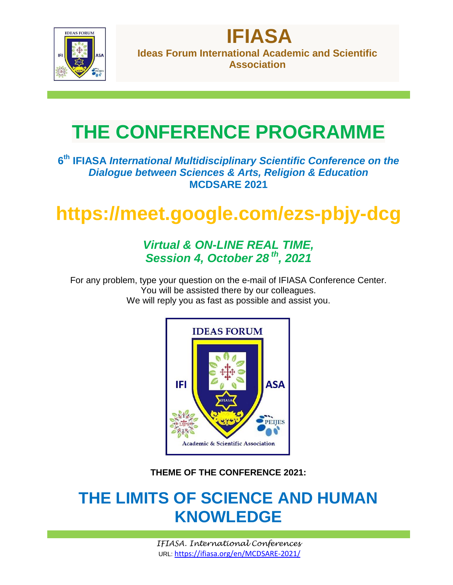

**Ideas Forum International Academic and Scientific Association**

**IFIASA**

# **THE CONFERENCE PROGRAMME**

**6 th IFIASA** *International Multidisciplinary Scientific Conference on the Dialogue between Sciences & Arts, Religion & Education* **MCDSARE 2021**

## **https://meet.google.com/ezs-pbjy-dcg**

### *Virtual & ON-LINE REAL TIME, Session 4, October 28 th , 2021*

For any problem, type your question on the e-mail of IFIASA Conference Center. You will be assisted there by our colleagues. We will reply you as fast as possible and assist you.



**THEME OF THE CONFERENCE 2021:**

## **THE LIMITS OF SCIENCE AND HUMAN KNOWLEDGE**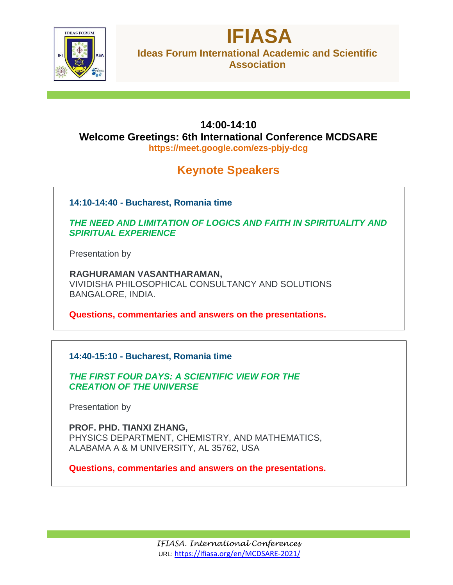

### **IFIASA Ideas Forum International Academic and Scientific Association**

#### **14:00-14:10 Welcome Greetings: 6th International Conference MCDSARE https://meet.google.com/ezs-pbjy-dcg**

## **Keynote Speakers**

**14:10-14:40 - Bucharest, Romania time**

*THE NEED AND LIMITATION OF LOGICS AND FAITH IN SPIRITUALITY AND SPIRITUAL EXPERIENCE*

Presentation by

 **RAGHURAMAN VASANTHARAMAN,** VIVIDISHA PHILOSOPHICAL CONSULTANCY AND SOLUTIONS BANGALORE, INDIA.

**Questions, commentaries and answers on the presentations.**

#### **14:40-15:10 - Bucharest, Romania time**

*THE FIRST FOUR DAYS: A SCIENTIFIC VIEW FOR THE CREATION OF THE UNIVERSE*

Presentation by

**PROF. PHD. TIANXI ZHANG,** PHYSICS DEPARTMENT, CHEMISTRY, AND MATHEMATICS, ALABAMA A & M UNIVERSITY, AL 35762, USA

**Questions, commentaries and answers on the presentations.**